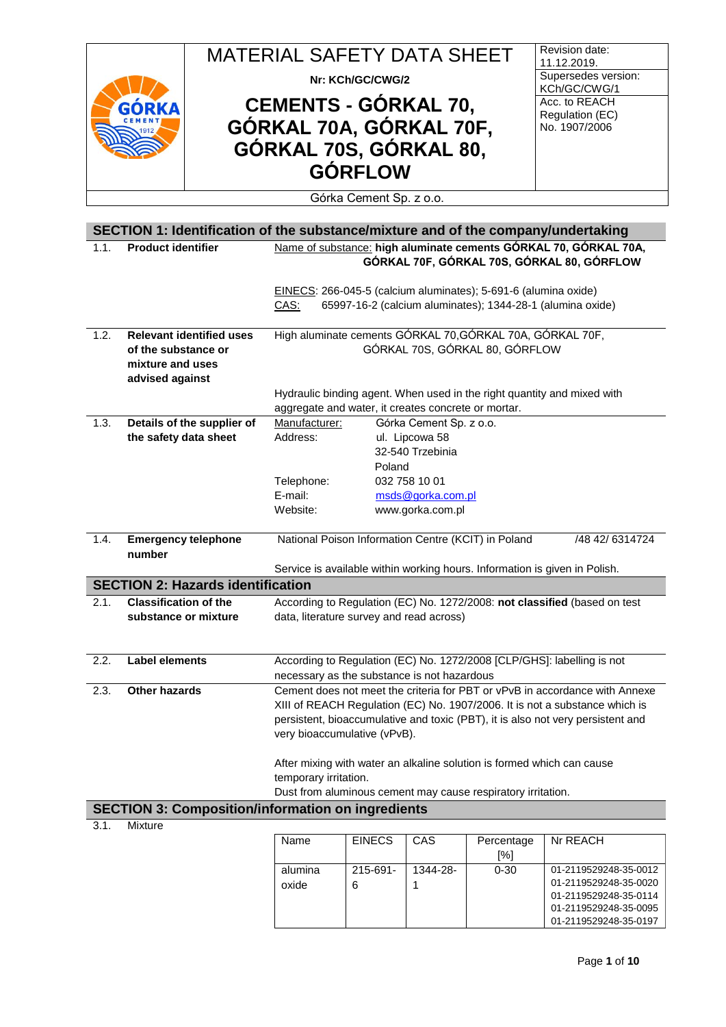|      |                                         |                                                                                   | <b>MATERIAL SAFETY DATA SHEET</b>                                                               |                  |                         |                                                                 | Revision date:                                                                                                                                             |
|------|-----------------------------------------|-----------------------------------------------------------------------------------|-------------------------------------------------------------------------------------------------|------------------|-------------------------|-----------------------------------------------------------------|------------------------------------------------------------------------------------------------------------------------------------------------------------|
|      |                                         |                                                                                   |                                                                                                 | Nr: KCh/GC/CWG/2 |                         |                                                                 | 11.12.2019.<br>Supersedes version:                                                                                                                         |
|      |                                         |                                                                                   |                                                                                                 |                  |                         | KCh/GC/CWG/1<br>Acc. to REACH                                   |                                                                                                                                                            |
|      |                                         |                                                                                   | <b>CEMENTS - GÓRKAL 70,</b><br>GORKAL 70A, GÓRKAL 70F,                                          |                  |                         |                                                                 | Regulation (EC)                                                                                                                                            |
|      |                                         |                                                                                   |                                                                                                 |                  |                         |                                                                 | No. 1907/2006                                                                                                                                              |
|      |                                         |                                                                                   | GÓRKAL 70S, GÓRKAL 80,                                                                          |                  |                         |                                                                 |                                                                                                                                                            |
|      |                                         |                                                                                   | <b>GÓRFLOW</b>                                                                                  |                  |                         |                                                                 |                                                                                                                                                            |
|      | Górka Cement Sp. z o.o.                 |                                                                                   |                                                                                                 |                  |                         |                                                                 |                                                                                                                                                            |
|      |                                         |                                                                                   |                                                                                                 |                  |                         |                                                                 | SECTION 1: Identification of the substance/mixture and of the company/undertaking                                                                          |
| 1.1. | <b>Product identifier</b>               |                                                                                   |                                                                                                 |                  |                         |                                                                 | Name of substance: high aluminate cements GÓRKAL 70, GÓRKAL 70A,<br>GÓRKAL 70F, GÓRKAL 70S, GÓRKAL 80, GÓRFLOW                                             |
|      |                                         |                                                                                   | CAS:                                                                                            |                  |                         | EINECS: 266-045-5 (calcium aluminates); 5-691-6 (alumina oxide) | 65997-16-2 (calcium aluminates); 1344-28-1 (alumina oxide)                                                                                                 |
| 1.2. |                                         | <b>Relevant identified uses</b>                                                   |                                                                                                 |                  |                         | High aluminate cements GÓRKAL 70, GÓRKAL 70A, GÓRKAL 70F,       |                                                                                                                                                            |
|      | of the substance or<br>mixture and uses |                                                                                   |                                                                                                 |                  |                         | GÓRKAL 70S, GÓRKAL 80, GÓRFLOW                                  |                                                                                                                                                            |
|      | advised against                         |                                                                                   |                                                                                                 |                  |                         |                                                                 | Hydraulic binding agent. When used in the right quantity and mixed with                                                                                    |
|      |                                         |                                                                                   | aggregate and water, it creates concrete or mortar.                                             |                  |                         |                                                                 |                                                                                                                                                            |
| 1.3. |                                         | Details of the supplier of                                                        | Manufacturer:                                                                                   |                  | Górka Cement Sp. z o.o. |                                                                 |                                                                                                                                                            |
|      | the safety data sheet                   |                                                                                   | Address:                                                                                        |                  | ul. Lipcowa 58          |                                                                 |                                                                                                                                                            |
|      |                                         |                                                                                   |                                                                                                 | Poland           | 32-540 Trzebinia        |                                                                 |                                                                                                                                                            |
|      |                                         |                                                                                   | Telephone:                                                                                      |                  | 032 758 10 01           |                                                                 |                                                                                                                                                            |
|      |                                         |                                                                                   | E-mail:                                                                                         |                  | msds@gorka.com.pl       |                                                                 |                                                                                                                                                            |
|      |                                         |                                                                                   | Website:                                                                                        |                  | www.gorka.com.pl        |                                                                 |                                                                                                                                                            |
| 1.4. |                                         | National Poison Information Centre (KCIT) in Poland<br><b>Emergency telephone</b> |                                                                                                 |                  | /48 42/ 6314724         |                                                                 |                                                                                                                                                            |
|      | number                                  |                                                                                   |                                                                                                 |                  |                         |                                                                 |                                                                                                                                                            |
|      |                                         | <b>SECTION 2: Hazards identification</b>                                          |                                                                                                 |                  |                         |                                                                 | Service is available within working hours. Information is given in Polish.                                                                                 |
| 2.1. | <b>Classification of the</b>            |                                                                                   |                                                                                                 |                  |                         |                                                                 | According to Regulation (EC) No. 1272/2008: not classified (based on test                                                                                  |
|      | substance or mixture                    |                                                                                   | data, literature survey and read across)                                                        |                  |                         |                                                                 |                                                                                                                                                            |
|      |                                         |                                                                                   |                                                                                                 |                  |                         |                                                                 |                                                                                                                                                            |
| 2.2. | <b>Label elements</b>                   |                                                                                   |                                                                                                 |                  |                         |                                                                 | According to Regulation (EC) No. 1272/2008 [CLP/GHS]: labelling is not                                                                                     |
|      |                                         |                                                                                   | necessary as the substance is not hazardous                                                     |                  |                         |                                                                 |                                                                                                                                                            |
| 2.3. | <b>Other hazards</b>                    |                                                                                   |                                                                                                 |                  |                         |                                                                 | Cement does not meet the criteria for PBT or vPvB in accordance with Annexe<br>XIII of REACH Regulation (EC) No. 1907/2006. It is not a substance which is |
|      |                                         |                                                                                   |                                                                                                 |                  |                         |                                                                 | persistent, bioaccumulative and toxic (PBT), it is also not very persistent and                                                                            |
|      |                                         |                                                                                   | very bioaccumulative (vPvB).                                                                    |                  |                         |                                                                 |                                                                                                                                                            |
|      |                                         |                                                                                   |                                                                                                 |                  |                         |                                                                 |                                                                                                                                                            |
|      |                                         |                                                                                   | After mixing with water an alkaline solution is formed which can cause<br>temporary irritation. |                  |                         |                                                                 |                                                                                                                                                            |
|      |                                         |                                                                                   |                                                                                                 |                  |                         | Dust from aluminous cement may cause respiratory irritation.    |                                                                                                                                                            |
|      |                                         | <b>SECTION 3: Composition/information on ingredients</b>                          |                                                                                                 |                  |                         |                                                                 |                                                                                                                                                            |
| 3.1. | Mixture                                 |                                                                                   |                                                                                                 |                  |                         |                                                                 |                                                                                                                                                            |
|      |                                         |                                                                                   | Name                                                                                            | <b>EINECS</b>    | CAS                     | Percentage<br>[%]                                               | Nr REACH                                                                                                                                                   |
|      |                                         |                                                                                   | alumina                                                                                         | 215-691-         | 1344-28-                | $0 - 30$                                                        | 01-2119529248-35-0012                                                                                                                                      |
|      |                                         |                                                                                   | oxide                                                                                           | 6                | 1                       |                                                                 | 01-2119529248-35-0020<br>01-2119529248-35-0114                                                                                                             |

01-2119529248-35-0095 01-2119529248-35-0197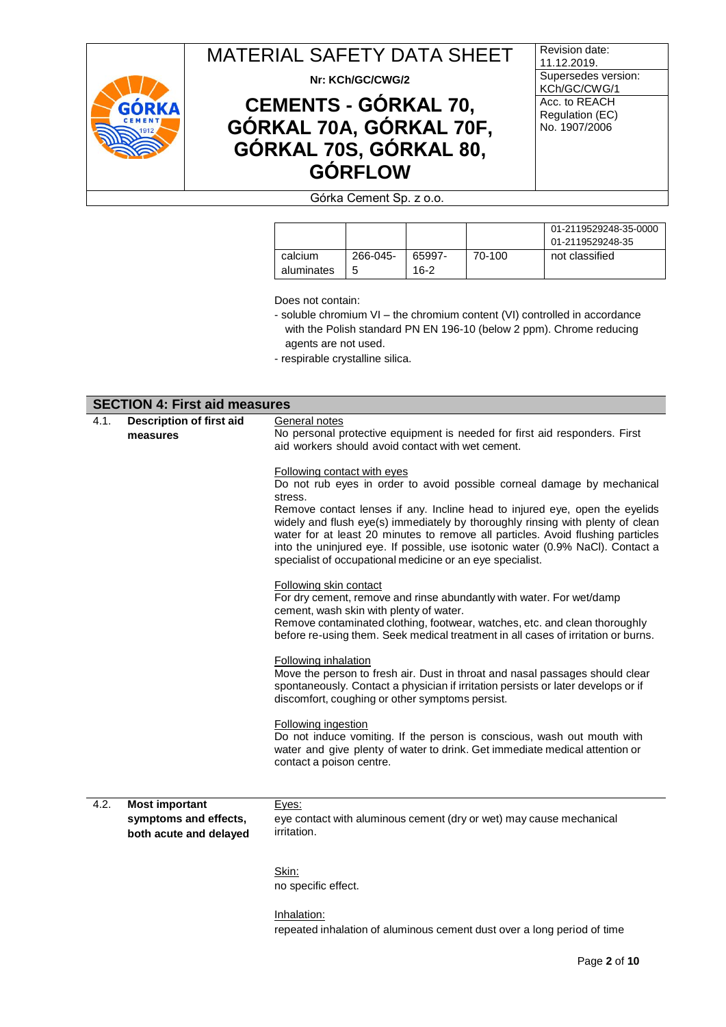

**Nr: KCh/GC/CWG/2**

# **CEMENTS - GÓRKAL 70, GÓRKAL 70A, GÓRKAL 70F, GÓRKAL 70S, GÓRKAL 80, GÓRFLOW**

Revision date: 11.12.2019. Supersedes version: KCh/GC/CWG/1 Acc. to REACH Regulation (EC) No. 1907/2006

## Górka Cement Sp. z o.o.

|            |          |        |        | 01-2119529248-35-0000<br>01-2119529248-35 |
|------------|----------|--------|--------|-------------------------------------------|
| calcium    | 266-045- | 65997- | 70-100 | not classified                            |
| aluminates | 5        | $16-2$ |        |                                           |

Does not contain:

- soluble chromium VI the chromium content (VI) controlled in accordance with the Polish standard PN EN 196-10 (below 2 ppm). Chrome reducing agents are not used.
- respirable crystalline silica.

|      | <b>SECTION 4: First aid measures</b>                                     |                                                                                                                                                                                                                                                                                                                                                                                                                                                                                                                      |
|------|--------------------------------------------------------------------------|----------------------------------------------------------------------------------------------------------------------------------------------------------------------------------------------------------------------------------------------------------------------------------------------------------------------------------------------------------------------------------------------------------------------------------------------------------------------------------------------------------------------|
| 4.1. | <b>Description of first aid</b><br>measures                              | General notes<br>No personal protective equipment is needed for first aid responders. First<br>aid workers should avoid contact with wet cement.                                                                                                                                                                                                                                                                                                                                                                     |
|      |                                                                          | Following contact with eyes<br>Do not rub eyes in order to avoid possible corneal damage by mechanical<br>stress.<br>Remove contact lenses if any. Incline head to injured eye, open the eyelids<br>widely and flush eye(s) immediately by thoroughly rinsing with plenty of clean<br>water for at least 20 minutes to remove all particles. Avoid flushing particles<br>into the uninjured eye. If possible, use isotonic water (0.9% NaCl). Contact a<br>specialist of occupational medicine or an eye specialist. |
|      |                                                                          | Following skin contact<br>For dry cement, remove and rinse abundantly with water. For wet/damp<br>cement, wash skin with plenty of water.<br>Remove contaminated clothing, footwear, watches, etc. and clean thoroughly<br>before re-using them. Seek medical treatment in all cases of irritation or burns.                                                                                                                                                                                                         |
|      |                                                                          | Following inhalation<br>Move the person to fresh air. Dust in throat and nasal passages should clear<br>spontaneously. Contact a physician if irritation persists or later develops or if<br>discomfort, coughing or other symptoms persist.                                                                                                                                                                                                                                                                         |
|      |                                                                          | <b>Following ingestion</b><br>Do not induce vomiting. If the person is conscious, wash out mouth with<br>water and give plenty of water to drink. Get immediate medical attention or<br>contact a poison centre.                                                                                                                                                                                                                                                                                                     |
| 4.2. | <b>Most important</b><br>symptoms and effects,<br>both acute and delayed | Eyes:<br>eye contact with aluminous cement (dry or wet) may cause mechanical<br>irritation.                                                                                                                                                                                                                                                                                                                                                                                                                          |
|      |                                                                          | Skin:<br>no specific effect.                                                                                                                                                                                                                                                                                                                                                                                                                                                                                         |
|      |                                                                          | Inhalation:<br>repeated inhalation of aluminous cement dust over a long period of time                                                                                                                                                                                                                                                                                                                                                                                                                               |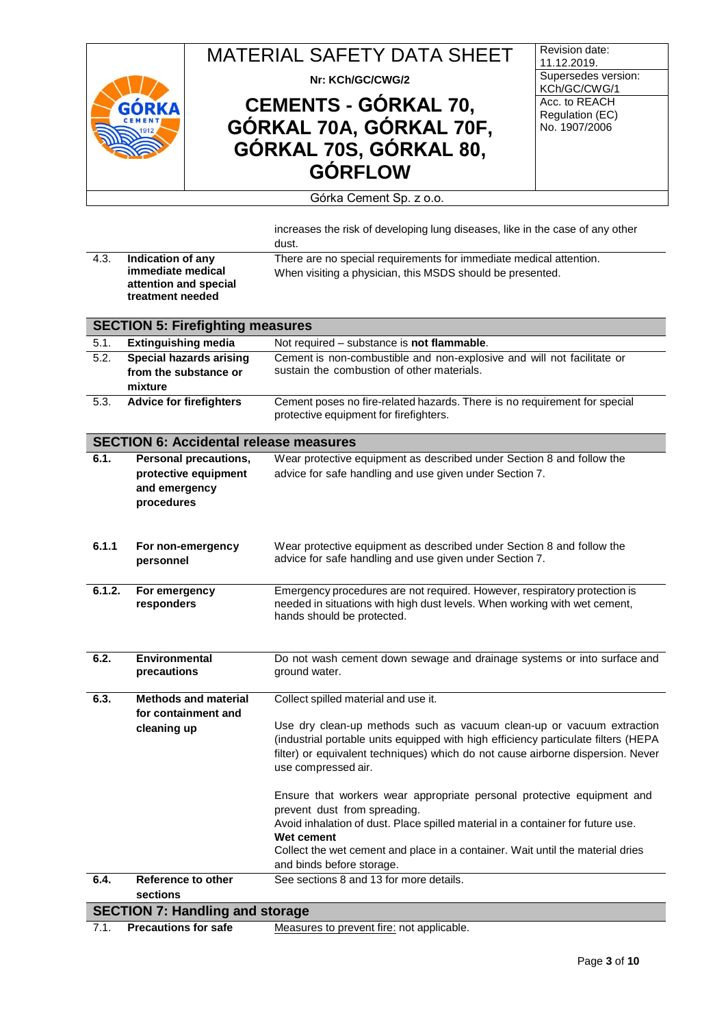

**Nr: KCh/GC/CWG/2**

# **CEMENTS - GÓRKAL 70, GÓRKAL 70A, GÓRKAL 70F, GÓRKAL 70S, GÓRKAL 80, GÓRFLOW**

Revision date: 11.12.2019. Supersedes version: KCh/GC/CWG/1 Acc. to REACH Regulation (EC) No. 1907/2006

#### Górka Cement Sp. z o.o.

|        |                                               | increases the risk of developing lung diseases, like in the case of any other                                                                                         |
|--------|-----------------------------------------------|-----------------------------------------------------------------------------------------------------------------------------------------------------------------------|
|        |                                               | dust.                                                                                                                                                                 |
| 4.3.   | Indication of any                             | There are no special requirements for immediate medical attention.                                                                                                    |
|        | immediate medical                             | When visiting a physician, this MSDS should be presented.                                                                                                             |
|        | attention and special<br>treatment needed     |                                                                                                                                                                       |
|        |                                               |                                                                                                                                                                       |
|        | <b>SECTION 5: Firefighting measures</b>       |                                                                                                                                                                       |
| 5.1.   | <b>Extinguishing media</b>                    | Not required - substance is not flammable.                                                                                                                            |
| 5.2.   | <b>Special hazards arising</b>                | Cement is non-combustible and non-explosive and will not facilitate or                                                                                                |
|        | from the substance or                         | sustain the combustion of other materials.                                                                                                                            |
|        | mixture                                       |                                                                                                                                                                       |
| 5.3.   | <b>Advice for firefighters</b>                | Cement poses no fire-related hazards. There is no requirement for special<br>protective equipment for firefighters.                                                   |
|        | <b>SECTION 6: Accidental release measures</b> |                                                                                                                                                                       |
| 6.1.   | <b>Personal precautions,</b>                  | Wear protective equipment as described under Section 8 and follow the                                                                                                 |
|        | protective equipment                          | advice for safe handling and use given under Section 7.                                                                                                               |
|        | and emergency                                 |                                                                                                                                                                       |
|        | procedures                                    |                                                                                                                                                                       |
|        |                                               |                                                                                                                                                                       |
|        |                                               |                                                                                                                                                                       |
| 6.1.1  | For non-emergency<br>personnel                | Wear protective equipment as described under Section 8 and follow the<br>advice for safe handling and use given under Section 7.                                      |
|        |                                               |                                                                                                                                                                       |
| 6.1.2. | For emergency                                 | Emergency procedures are not required. However, respiratory protection is                                                                                             |
|        | responders                                    | needed in situations with high dust levels. When working with wet cement,                                                                                             |
|        |                                               | hands should be protected.                                                                                                                                            |
|        |                                               |                                                                                                                                                                       |
|        |                                               |                                                                                                                                                                       |
| 6.2.   | <b>Environmental</b><br>precautions           | Do not wash cement down sewage and drainage systems or into surface and<br>ground water.                                                                              |
|        |                                               |                                                                                                                                                                       |
| 6.3.   | <b>Methods and material</b>                   | Collect spilled material and use it.                                                                                                                                  |
|        | for containment and                           |                                                                                                                                                                       |
|        | cleaning up                                   | Use dry clean-up methods such as vacuum clean-up or vacuum extraction                                                                                                 |
|        |                                               | (industrial portable units equipped with high efficiency particulate filters (HEPA<br>filter) or equivalent techniques) which do not cause airborne dispersion. Never |
|        |                                               | use compressed air.                                                                                                                                                   |
|        |                                               |                                                                                                                                                                       |
|        |                                               | Ensure that workers wear appropriate personal protective equipment and                                                                                                |
|        |                                               | prevent dust from spreading.                                                                                                                                          |
|        |                                               | Avoid inhalation of dust. Place spilled material in a container for future use.                                                                                       |
|        |                                               | Wet cement                                                                                                                                                            |
|        |                                               | Collect the wet cement and place in a container. Wait until the material dries                                                                                        |
|        |                                               | and binds before storage.                                                                                                                                             |
| 6.4.   | Reference to other                            | See sections 8 and 13 for more details.                                                                                                                               |
|        | sections                                      |                                                                                                                                                                       |
|        | <b>SECTION 7: Handling and storage</b>        |                                                                                                                                                                       |
|        |                                               |                                                                                                                                                                       |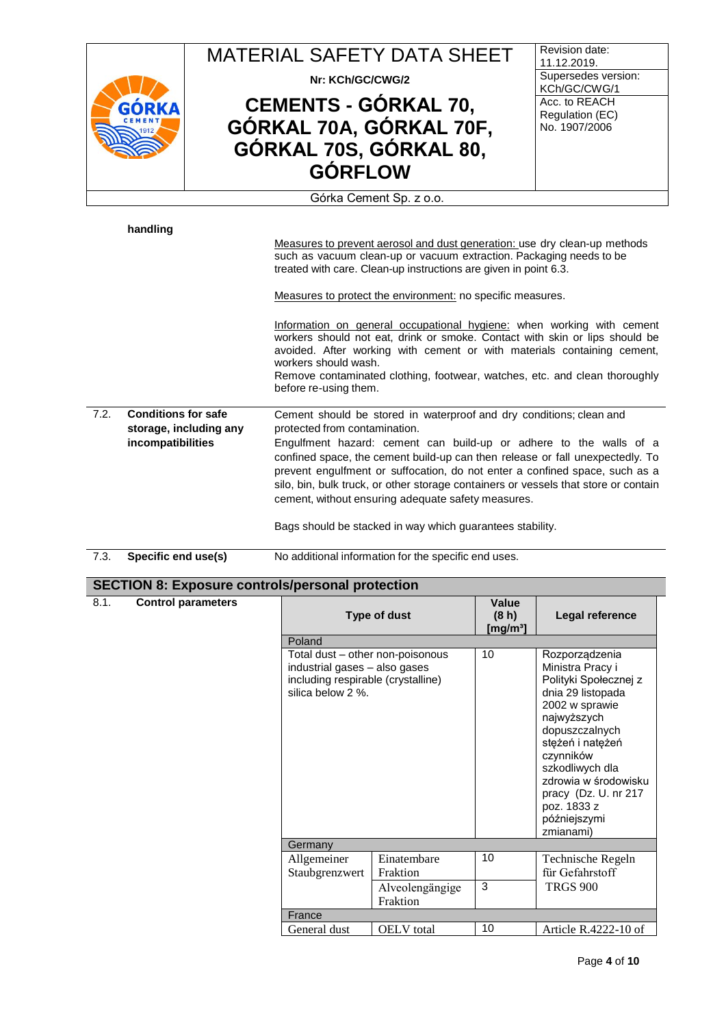|                         | <b>MATERIAL SAFETY DATA SHEET</b> | Revision date:<br>11.12.2019.       |  |  |
|-------------------------|-----------------------------------|-------------------------------------|--|--|
|                         | Nr: KCh/GC/CWG/2                  | Supersedes version:<br>KCh/GC/CWG/1 |  |  |
| GÓRKA                   | <b>CEMENTS - GÓRKAL 70,</b>       | Acc. to REACH<br>Regulation (EC)    |  |  |
| CEMENT                  | GÓRKAL 70A, GÓRKAL 70F,           | No. 1907/2006                       |  |  |
|                         | GÓRKAL 70S, GÓRKAL 80,            |                                     |  |  |
|                         | <b>GÓRFLOW</b>                    |                                     |  |  |
| Górka Cement Sp. z o.o. |                                   |                                     |  |  |

**handling**

Measures to prevent aerosol and dust generation: use dry clean-up methods such as vacuum clean-up or vacuum extraction. Packaging needs to be treated with care. Clean-up instructions are given in point 6.3.

Measures to protect the environment: no specific measures.

Information on general occupational hygiene: when working with cement workers should not eat, drink or smoke. Contact with skin or lips should be avoided. After working with cement or with materials containing cement, workers should wash. Remove contaminated clothing, footwear, watches, etc. and clean thoroughly before re-using them. 7.2. **Conditions for safe storage, including any incompatibilities** Cement should be stored in waterproof and dry conditions; clean and protected from contamination. Engulfment hazard: cement can build-up or adhere to the walls of a confined space, the cement build-up can then release or fall unexpectedly. To prevent engulfment or suffocation, do not enter a confined space, such as a silo, bin, bulk truck, or other storage containers or vessels that store or contain cement, without ensuring adequate safety measures.

Bags should be stacked in way which guarantees stability.

7.3. **Specific end use(s)** No additional information for the specific end uses.

### **SECTION 8: Exposure controls/personal protection**

#### 8.1. **Control parameters**

|                                                                                                                              | Type of dust            | Value<br>(8 <sub>h</sub> )<br>[mg/m $^{3}$ ] | Legal reference                                                                                                                                                                                                                                                                      |  |  |
|------------------------------------------------------------------------------------------------------------------------------|-------------------------|----------------------------------------------|--------------------------------------------------------------------------------------------------------------------------------------------------------------------------------------------------------------------------------------------------------------------------------------|--|--|
| Poland                                                                                                                       |                         |                                              |                                                                                                                                                                                                                                                                                      |  |  |
| Total dust - other non-poisonous<br>industrial gases - also gases<br>including respirable (crystalline)<br>silica below 2 %. |                         | 10                                           | Rozporządzenia<br>Ministra Pracy i<br>Polityki Społecznej z<br>dnia 29 listopada<br>2002 w sprawie<br>najwyższych<br>dopuszczalnych<br>stężeń i natężeń<br>czynników<br>szkodliwych dla<br>zdrowia w środowisku<br>pracy (Dz. U. nr 217)<br>poz. 1833 z<br>późniejszymi<br>zmianami) |  |  |
| Germany                                                                                                                      |                         |                                              |                                                                                                                                                                                                                                                                                      |  |  |
| Allgemeiner<br>Staubgrenzwert                                                                                                | Einatembare<br>Fraktion | 10                                           | Technische Regeln<br>für Gefahrstoff                                                                                                                                                                                                                                                 |  |  |
| Alveolengängige<br>Fraktion                                                                                                  |                         | 3                                            | <b>TRGS 900</b>                                                                                                                                                                                                                                                                      |  |  |
| France                                                                                                                       |                         |                                              |                                                                                                                                                                                                                                                                                      |  |  |
| General dust                                                                                                                 | <b>OELV</b> total       | 10                                           | Article R.4222-10 of                                                                                                                                                                                                                                                                 |  |  |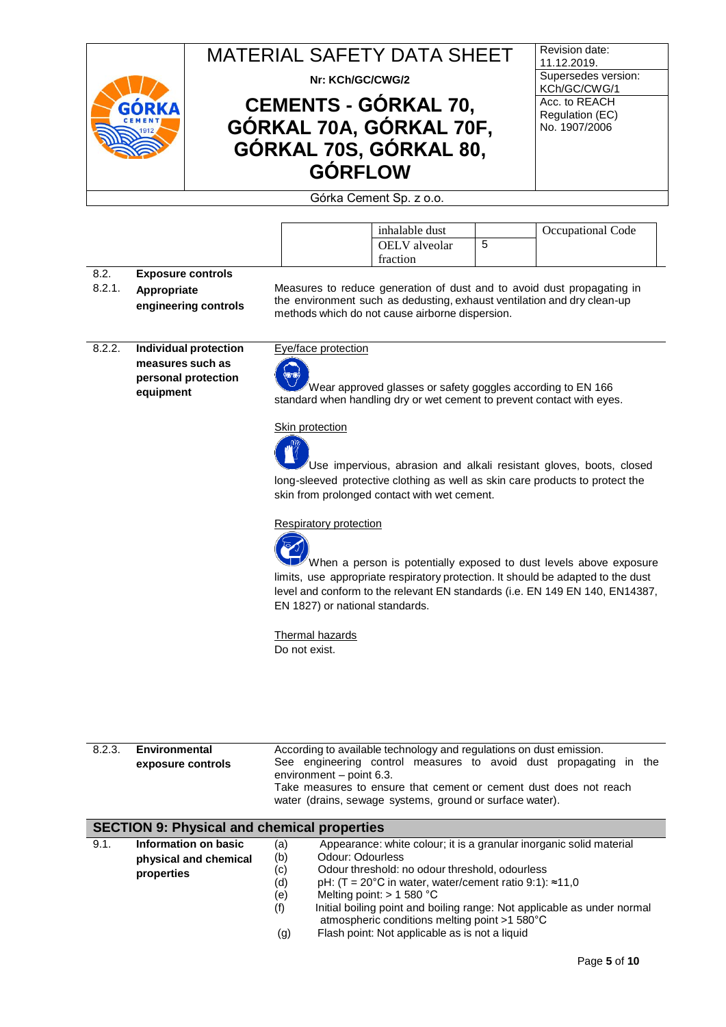

**Nr: KCh/GC/CWG/2**

## **CEMENTS - GÓRKAL 70, GÓRKAL 70A, GÓRKAL 70F, GÓRKAL 70S, GÓRKAL 80, GÓRFLOW**

Revision date: 11.12.2019. Supersedes version: KCh/GC/CWG/1 Acc. to REACH Regulation (EC) No. 1907/2006

Górka Cement Sp. z o.o.

| inhalable dust       |   | Occupational Code |
|----------------------|---|-------------------|
| <b>OELV</b> alveolar | ັ |                   |
| traction             |   |                   |

- 8.2. 8.2.1. **Exposure controls Appropriate**
- **engineering controls**

Measures to reduce generation of dust and to avoid dust propagating in the environment such as dedusting, exhaust ventilation and dry clean-up methods which do not cause airborne dispersion.

8.2.2. **Individual protection measures such as personal protection equipment**

#### Eye/face protection



Wear approved glasses or safety goggles according to EN 166 standard when handling dry or wet cement to prevent contact with eyes.

#### Skin protection

Use impervious, abrasion and alkali resistant gloves, boots, closed long-sleeved protective clothing as well as skin care products to protect the skin from prolonged contact with wet cement.

#### Respiratory protection



When a person is potentially exposed to dust levels above exposure limits, use appropriate respiratory protection. It should be adapted to the dust level and conform to the relevant EN standards (i.e. EN 149 EN 140, EN14387, EN 1827) or national standards.

Thermal hazards Do not exist.

| 8.2.3. | Environmental                                      | According to available technology and regulations on dust emission.                           |  |  |  |
|--------|----------------------------------------------------|-----------------------------------------------------------------------------------------------|--|--|--|
|        | exposure controls                                  | See engineering control measures to avoid dust propagating in the<br>environment - point 6.3. |  |  |  |
|        |                                                    | Take measures to ensure that cement or cement dust does not reach                             |  |  |  |
|        |                                                    | water (drains, sewage systems, ground or surface water).                                      |  |  |  |
|        |                                                    |                                                                                               |  |  |  |
|        |                                                    |                                                                                               |  |  |  |
|        | <b>SECTION 9: Physical and chemical properties</b> |                                                                                               |  |  |  |
| 9.1.   | Information on basic                               | Appearance: white colour; it is a granular inorganic solid material<br>(a)                    |  |  |  |
|        |                                                    | Odour: Odourless<br>(b)                                                                       |  |  |  |
|        | physical and chemical                              | Odour threshold: no odour threshold, odourless<br>(c)                                         |  |  |  |
|        | properties                                         | pH: $(T = 20^{\circ}C$ in water, water/cement ratio 9:1): $\approx 11,0$<br>(d)               |  |  |  |

(e) Melting point: > 1 580<br>(f) Initial boiling point and Initial boiling point and boiling range: Not applicable as under normal atmospheric conditions melting point >1 580°C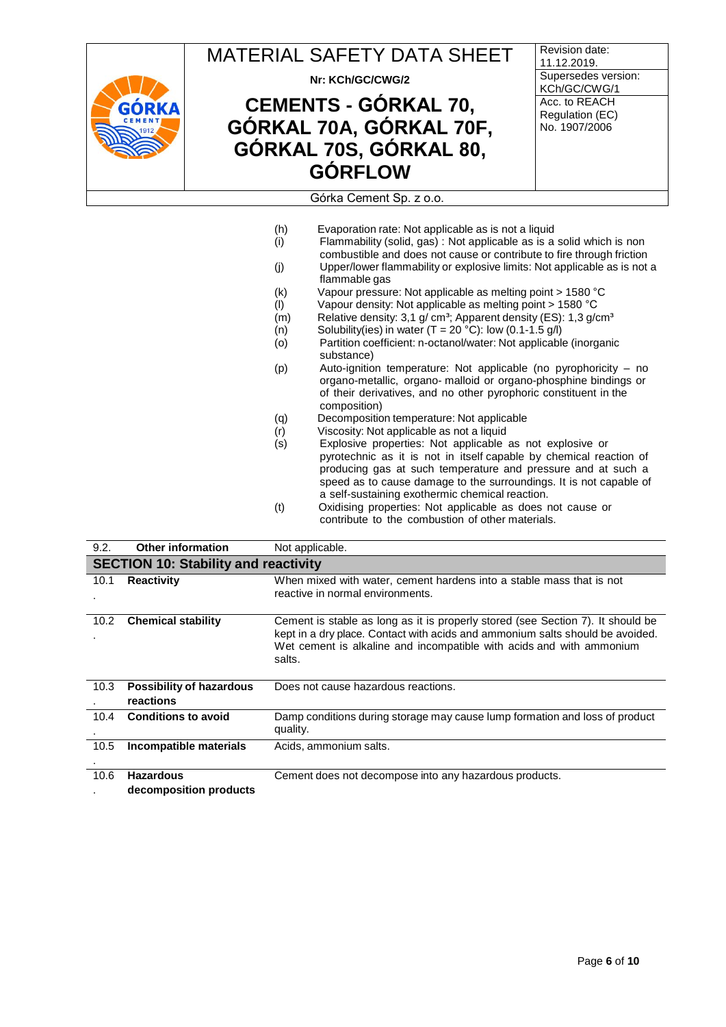

MATERIAL SAFETY DATA SHEET **Nr: KCh/GC/CWG/2 CEMENTS - GÓRKAL 70, GÓRKAL 70A, GÓRKAL 70F, GÓRKAL 70S, GÓRKAL 80, GÓRFLOW** Revision date: 11.12.2019. Supersedes version: KCh/GC/CWG/1 Acc. to REACH Regulation (EC) No. 1907/2006 Górka Cement Sp. z o.o.

(h) Evaporation rate: Not applicable as is not a liquid  $(i)$  Flammability (solid, gas) : Not applicable as is a solid which is non combustible and does not cause or contribute to fire through friction (j) Upper/lower flammability or explosive limits: Not applicable as is not a flammable gas (k) Vapour pressure: Not applicable as melting point > 1580 °C (l) Vapour density: Not applicable as melting point > 1580 °C  $(m)$  Relative density: 3,1 g/ cm<sup>3</sup>; Apparent density (ES): 1,3 g/cm<sup>3</sup>  $(n)$  Solubility(ies) in water  $(T = 20 °C)$ : low  $(0.1 - 1.5 g/l)$ (o) Partition coefficient: n-octanol/water: Not applicable (inorganic substance) (p) Auto-ignition temperature: Not applicable (no pyrophoricity – no organo-metallic, organo- malloid or organo-phosphine bindings or of their derivatives, and no other pyrophoric constituent in the composition) (q) Decomposition temperature: Not applicable<br>
(r) Viscosity: Not applicable as not a liquid<br>
(s) Explosive properties: Not applicable as r Viscosity: Not applicable as not a liquid Explosive properties: Not applicable as not explosive or pyrotechnic as it is not in itself capable by chemical reaction of producing gas at such temperature and pressure and at such a speed as to cause damage to the surroundings. It is not capable of a self-sustaining exothermic chemical reaction. (t) Oxidising properties: Not applicable as does not cause or contribute to the combustion of other materials.

| 9.2. | <b>Other information</b>                     | Not applicable.                                                                                                                                                                                                                                    |  |  |  |
|------|----------------------------------------------|----------------------------------------------------------------------------------------------------------------------------------------------------------------------------------------------------------------------------------------------------|--|--|--|
|      | <b>SECTION 10: Stability and reactivity</b>  |                                                                                                                                                                                                                                                    |  |  |  |
| 10.1 | <b>Reactivity</b>                            | When mixed with water, cement hardens into a stable mass that is not<br>reactive in normal environments.                                                                                                                                           |  |  |  |
| 10.2 | <b>Chemical stability</b>                    | Cement is stable as long as it is properly stored (see Section 7). It should be<br>kept in a dry place. Contact with acids and ammonium salts should be avoided.<br>Wet cement is alkaline and incompatible with acids and with ammonium<br>salts. |  |  |  |
| 10.3 | <b>Possibility of hazardous</b><br>reactions | Does not cause hazardous reactions.                                                                                                                                                                                                                |  |  |  |
| 10.4 | <b>Conditions to avoid</b>                   | Damp conditions during storage may cause lump formation and loss of product<br>quality.                                                                                                                                                            |  |  |  |
| 10.5 | Incompatible materials                       | Acids, ammonium salts.                                                                                                                                                                                                                             |  |  |  |
| 10.6 | <b>Hazardous</b><br>decomposition products   | Cement does not decompose into any hazardous products.                                                                                                                                                                                             |  |  |  |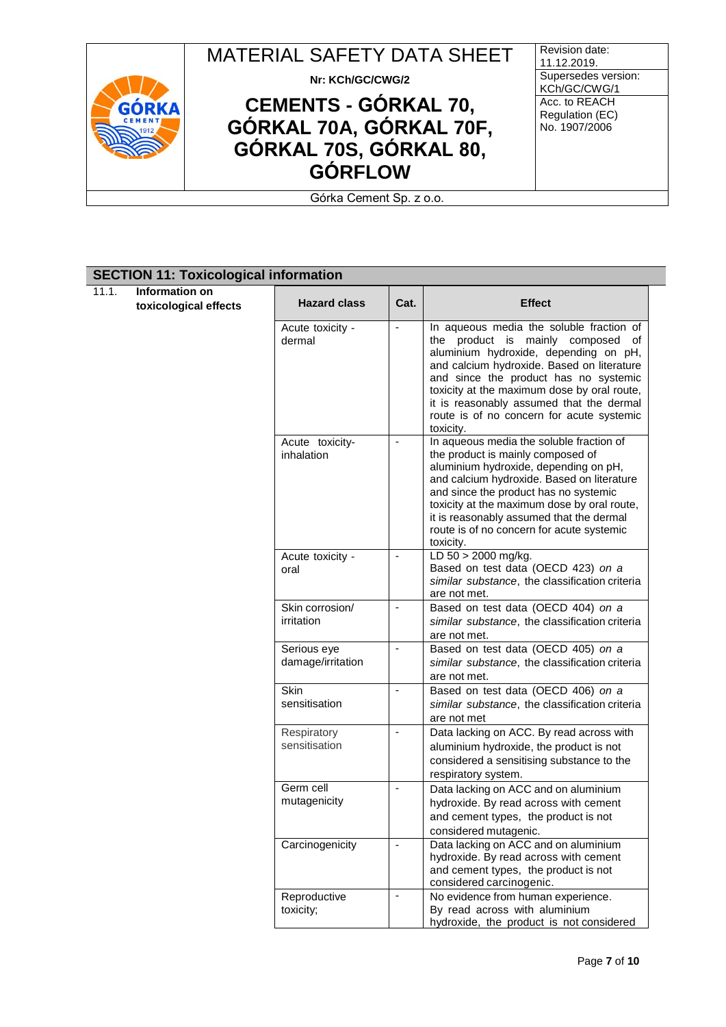

 $\overline{11}$ .

| 11.1. | Information on        |                                  |                          |                                                                                                                                                                                                                                                                                                                                                                    |
|-------|-----------------------|----------------------------------|--------------------------|--------------------------------------------------------------------------------------------------------------------------------------------------------------------------------------------------------------------------------------------------------------------------------------------------------------------------------------------------------------------|
|       | toxicological effects | <b>Hazard class</b>              | Cat.                     | <b>Effect</b>                                                                                                                                                                                                                                                                                                                                                      |
|       |                       | Acute toxicity -<br>dermal       | ÷,                       | In aqueous media the soluble fraction of<br>the product is mainly composed of<br>aluminium hydroxide, depending on pH,<br>and calcium hydroxide. Based on literature<br>and since the product has no systemic<br>toxicity at the maximum dose by oral route,<br>it is reasonably assumed that the dermal<br>route is of no concern for acute systemic<br>toxicity. |
|       |                       | Acute toxicity-<br>inhalation    |                          | In aqueous media the soluble fraction of<br>the product is mainly composed of<br>aluminium hydroxide, depending on pH,<br>and calcium hydroxide. Based on literature<br>and since the product has no systemic<br>toxicity at the maximum dose by oral route,<br>it is reasonably assumed that the dermal<br>route is of no concern for acute systemic<br>toxicity. |
|       |                       | Acute toxicity -<br>oral         | ÷,                       | LD 50 > 2000 mg/kg.<br>Based on test data (OECD 423) on a<br>similar substance, the classification criteria<br>are not met.                                                                                                                                                                                                                                        |
|       |                       | Skin corrosion/<br>irritation    | $\blacksquare$           | Based on test data (OECD 404) on a<br>similar substance, the classification criteria<br>are not met.                                                                                                                                                                                                                                                               |
|       |                       | Serious eye<br>damage/irritation | $\overline{\phantom{a}}$ | Based on test data (OECD 405) on a<br>similar substance, the classification criteria<br>are not met.                                                                                                                                                                                                                                                               |
|       |                       | Skin<br>sensitisation            |                          | Based on test data (OECD 406) on a<br>similar substance, the classification criteria<br>are not met                                                                                                                                                                                                                                                                |
|       |                       | Respiratory<br>sensitisation     | $\blacksquare$           | Data lacking on ACC. By read across with<br>aluminium hydroxide, the product is not<br>considered a sensitising substance to the<br>respiratory system.                                                                                                                                                                                                            |
|       |                       | Germ cell<br>mutagenicity        | $\blacksquare$           | Data lacking on ACC and on aluminium<br>hydroxide. By read across with cement<br>and cement types, the product is not<br>considered mutagenic.                                                                                                                                                                                                                     |
|       |                       | Carcinogenicity                  | $\blacksquare$           | Data lacking on ACC and on aluminium<br>hydroxide. By read across with cement<br>and cement types, the product is not<br>considered carcinogenic.                                                                                                                                                                                                                  |
|       |                       | Reproductive<br>toxicity;        | $\overline{\phantom{a}}$ | No evidence from human experience.<br>By read across with aluminium<br>hydroxide, the product is not considered                                                                                                                                                                                                                                                    |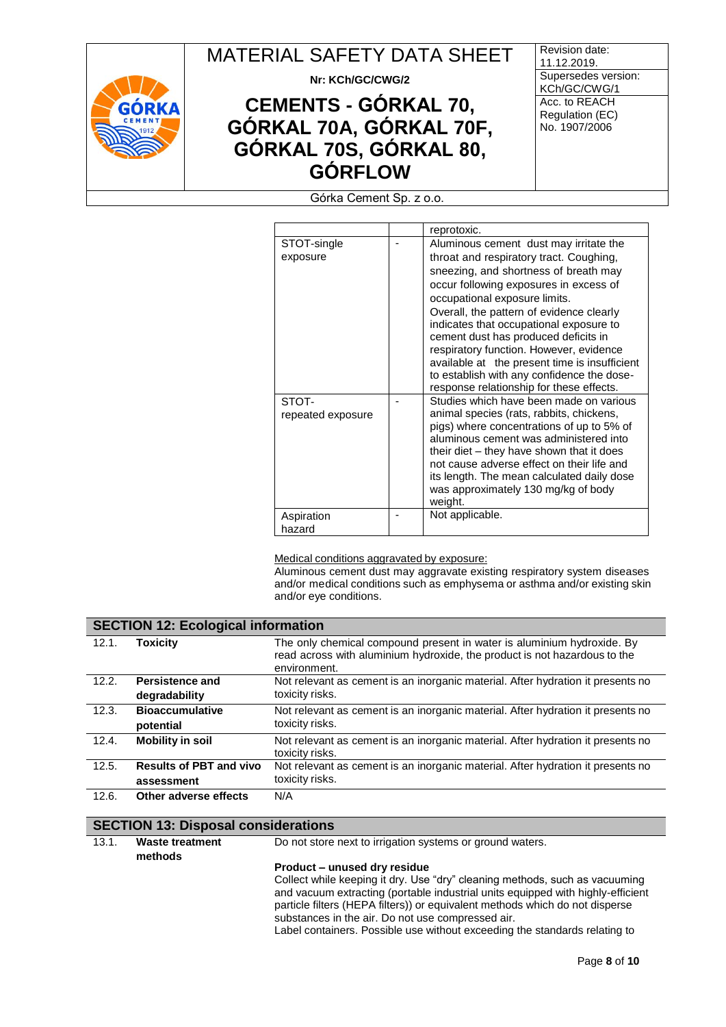

**Nr: KCh/GC/CWG/2**

# **CEMENTS - GÓRKAL 70, GÓRKAL 70A, GÓRKAL 70F, GÓRKAL 70S, GÓRKAL 80, GÓRFLOW**

Revision date: 11.12.2019. Supersedes version: KCh/GC/CWG/1 Acc. to REACH Regulation (EC) No. 1907/2006

Górka Cement Sp. z o.o.

|                   | reprotoxic.                                   |
|-------------------|-----------------------------------------------|
| STOT-single       | Aluminous cement dust may irritate the        |
| exposure          | throat and respiratory tract. Coughing,       |
|                   | sneezing, and shortness of breath may         |
|                   | occur following exposures in excess of        |
|                   | occupational exposure limits.                 |
|                   | Overall, the pattern of evidence clearly      |
|                   | indicates that occupational exposure to       |
|                   | cement dust has produced deficits in          |
|                   | respiratory function. However, evidence       |
|                   | available at the present time is insufficient |
|                   | to establish with any confidence the dose-    |
|                   | response relationship for these effects.      |
| STOT-             | Studies which have been made on various       |
| repeated exposure | animal species (rats, rabbits, chickens,      |
|                   | pigs) where concentrations of up to 5% of     |
|                   | aluminous cement was administered into        |
|                   | their diet – they have shown that it does     |
|                   | not cause adverse effect on their life and    |
|                   | its length. The mean calculated daily dose    |
|                   | was approximately 130 mg/kg of body           |
|                   | weight.                                       |
| Aspiration        | Not applicable.                               |
| hazard            |                                               |

#### Medical conditions aggravated by exposure:

Aluminous cement dust may aggravate existing respiratory system diseases and/or medical conditions such as emphysema or asthma and/or existing skin and/or eye conditions.

|       | <b>SECTION 12: Ecological information</b>    |                                                                                                                                                                     |  |  |
|-------|----------------------------------------------|---------------------------------------------------------------------------------------------------------------------------------------------------------------------|--|--|
| 12.1. | <b>Toxicity</b>                              | The only chemical compound present in water is aluminium hydroxide. By<br>read across with aluminium hydroxide, the product is not hazardous to the<br>environment. |  |  |
| 12.2. | Persistence and<br>degradability             | Not relevant as cement is an inorganic material. After hydration it presents no<br>toxicity risks.                                                                  |  |  |
| 12.3. | <b>Bioaccumulative</b><br>potential          | Not relevant as cement is an inorganic material. After hydration it presents no<br>toxicity risks.                                                                  |  |  |
| 12.4. | <b>Mobility in soil</b>                      | Not relevant as cement is an inorganic material. After hydration it presents no<br>toxicity risks.                                                                  |  |  |
| 12.5. | <b>Results of PBT and vivo</b><br>assessment | Not relevant as cement is an inorganic material. After hydration it presents no<br>toxicity risks.                                                                  |  |  |
| 12.6. | Other adverse effects                        | N/A                                                                                                                                                                 |  |  |

### **SECTION 13: Disposal considerations**

13.1. **Waste treatment** 

Do not store next to irrigation systems or ground waters.

#### **methods**

#### **Product – unused dry residue**

Collect while keeping it dry. Use "dry" cleaning methods, such as vacuuming and vacuum extracting (portable industrial units equipped with highly-efficient particle filters (HEPA filters)) or equivalent methods which do not disperse substances in the air. Do not use compressed air.

Label containers. Possible use without exceeding the standards relating to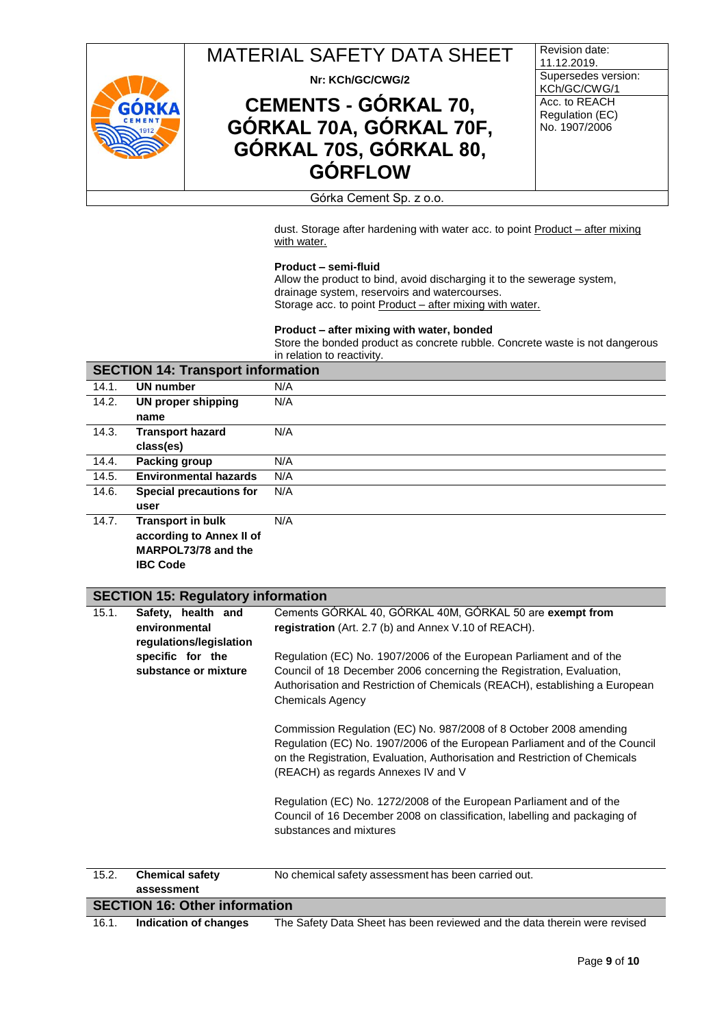

**Nr: KCh/GC/CWG/2**

# **CEMENTS - GÓRKAL 70, GÓRKAL 70A, GÓRKAL 70F, GÓRKAL 70S, GÓRKAL 80, GÓRFLOW**

Revision date: 11.12.2019. Supersedes version: KCh/GC/CWG/1 Acc. to REACH Regulation (EC) No. 1907/2006

#### Górka Cement Sp. z o.o.

dust. Storage after hardening with water acc. to point Product - after mixing with water.

#### **Product – semi-fluid**

Allow the product to bind, avoid discharging it to the sewerage system, drainage system, reservoirs and watercourses. Storage acc. to point Product - after mixing with water.

#### **Product – after mixing with water, bonded**

Store the bonded product as concrete rubble. Concrete waste is not dangerous in relation to reactivity.

| <b>SECTION 14: Transport information</b> |     |  |
|------------------------------------------|-----|--|
| <b>UN number</b>                         | N/A |  |
| <b>UN proper shipping</b>                | N/A |  |
| name                                     |     |  |
| <b>Transport hazard</b>                  | N/A |  |
| class(es)                                |     |  |
| Packing group                            | N/A |  |
| <b>Environmental hazards</b>             | N/A |  |
| <b>Special precautions for</b>           | N/A |  |
| user                                     |     |  |
| <b>Transport in bulk</b>                 | N/A |  |
| according to Annex II of                 |     |  |
| MARPOL73/78 and the                      |     |  |
|                                          |     |  |

**IBC Code**

### **SECTION 15: Regulatory information**

| 15.1. | Safety, health and      | Cements GÓRKAL 40, GÓRKAL 40M, GÓRKAL 50 are exempt from                    |
|-------|-------------------------|-----------------------------------------------------------------------------|
|       | environmental           | registration (Art. 2.7 (b) and Annex V.10 of REACH).                        |
|       | regulations/legislation |                                                                             |
|       | specific for the        | Regulation (EC) No. 1907/2006 of the European Parliament and of the         |
|       | substance or mixture    | Council of 18 December 2006 concerning the Registration, Evaluation,        |
|       |                         | Authorisation and Restriction of Chemicals (REACH), establishing a European |
|       |                         | <b>Chemicals Agency</b>                                                     |
|       |                         |                                                                             |
|       |                         | Commission Regulation (EC) No. 987/2008 of 8 October 2008 amending          |
|       |                         | Regulation (EC) No. 1907/2006 of the European Parliament and of the Council |
|       |                         | on the Registration, Evaluation, Authorisation and Restriction of Chemicals |
|       |                         | (REACH) as regards Annexes IV and V                                         |
|       |                         |                                                                             |
|       |                         | Regulation (EC) No. 1272/2008 of the European Parliament and of the         |
|       |                         | Council of 16 December 2008 on classification, labelling and packaging of   |
|       |                         | substances and mixtures                                                     |
|       |                         |                                                                             |
|       |                         |                                                                             |
|       |                         |                                                                             |

| 15.2.                                | <b>Chemical safety</b> | No chemical safety assessment has been carried out.                       |  |  |
|--------------------------------------|------------------------|---------------------------------------------------------------------------|--|--|
|                                      | assessment             |                                                                           |  |  |
| <b>SECTION 16: Other information</b> |                        |                                                                           |  |  |
| 16.1.                                | Indication of changes  | The Safety Data Sheet has been reviewed and the data therein were revised |  |  |